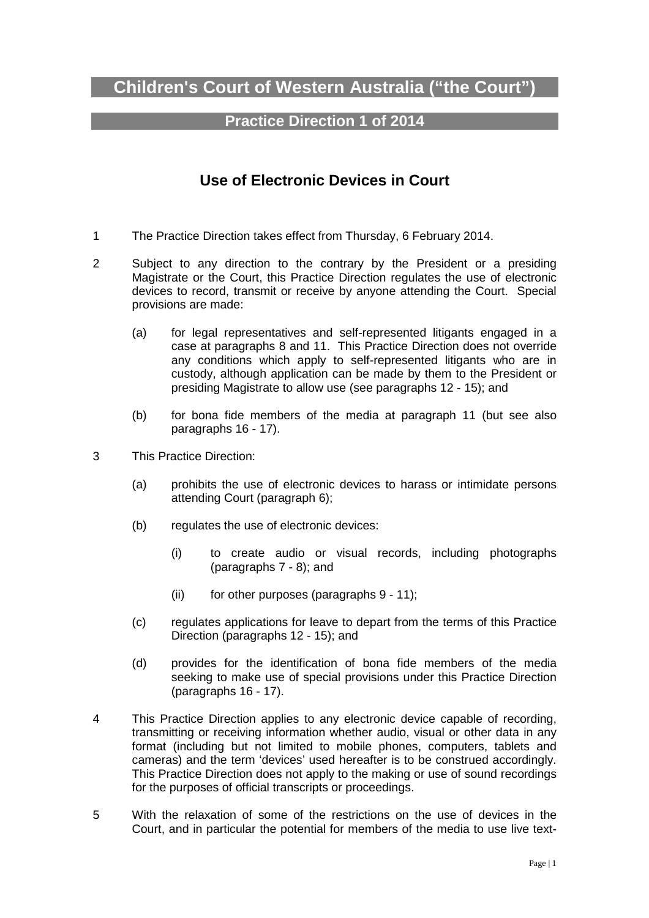# **Children's Court of Western Australia ("the Court")**

# **Practice Direction 1 of 2014**

# **Use of Electronic Devices in Court**

- 1 The Practice Direction takes effect from Thursday, 6 February 2014.
- 2 Subject to any direction to the contrary by the President or a presiding Magistrate or the Court, this Practice Direction regulates the use of electronic devices to record, transmit or receive by anyone attending the Court. Special provisions are made:
	- (a) for legal representatives and self-represented litigants engaged in a case at paragraphs 8 and 11. This Practice Direction does not override any conditions which apply to self-represented litigants who are in custody, although application can be made by them to the President or presiding Magistrate to allow use (see paragraphs 12 - 15); and
	- (b) for bona fide members of the media at paragraph 11 (but see also paragraphs 16 - 17).
- 3 This Practice Direction:
	- (a) prohibits the use of electronic devices to harass or intimidate persons attending Court (paragraph 6);
	- (b) regulates the use of electronic devices:
		- (i) to create audio or visual records, including photographs (paragraphs 7 - 8); and
		- (ii) for other purposes (paragraphs 9 11);
	- (c) regulates applications for leave to depart from the terms of this Practice Direction (paragraphs 12 - 15); and
	- (d) provides for the identification of bona fide members of the media seeking to make use of special provisions under this Practice Direction (paragraphs 16 - 17).
- 4 This Practice Direction applies to any electronic device capable of recording, transmitting or receiving information whether audio, visual or other data in any format (including but not limited to mobile phones, computers, tablets and cameras) and the term 'devices' used hereafter is to be construed accordingly. This Practice Direction does not apply to the making or use of sound recordings for the purposes of official transcripts or proceedings.
- 5 With the relaxation of some of the restrictions on the use of devices in the Court, and in particular the potential for members of the media to use live text-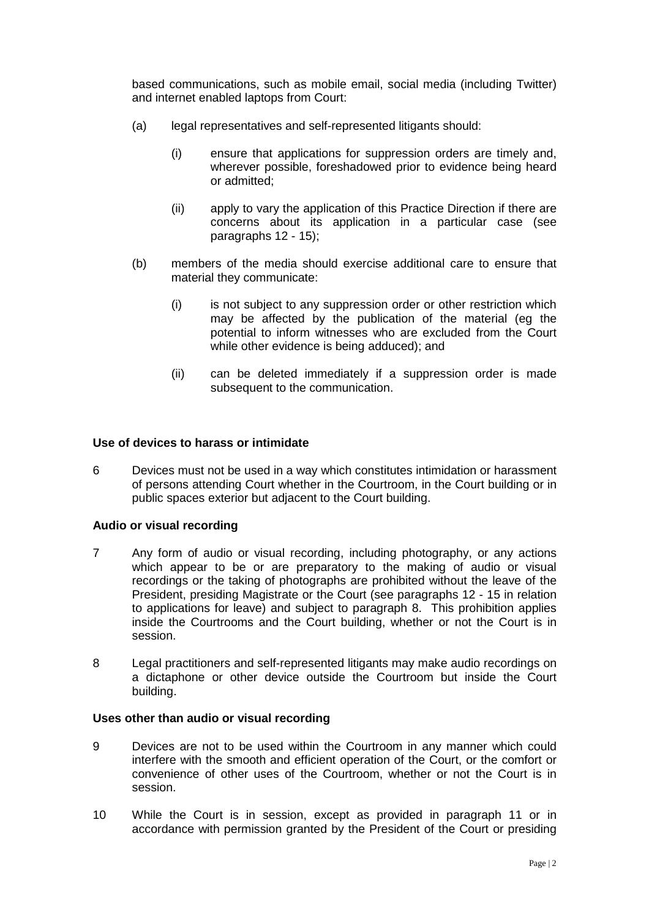based communications, such as mobile email, social media (including Twitter) and internet enabled laptops from Court:

- (a) legal representatives and self-represented litigants should:
	- (i) ensure that applications for suppression orders are timely and, wherever possible, foreshadowed prior to evidence being heard or admitted;
	- (ii) apply to vary the application of this Practice Direction if there are concerns about its application in a particular case (see paragraphs 12 - 15);
- (b) members of the media should exercise additional care to ensure that material they communicate:
	- (i) is not subject to any suppression order or other restriction which may be affected by the publication of the material (eg the potential to inform witnesses who are excluded from the Court while other evidence is being adduced); and
	- (ii) can be deleted immediately if a suppression order is made subsequent to the communication.

#### **Use of devices to harass or intimidate**

6 Devices must not be used in a way which constitutes intimidation or harassment of persons attending Court whether in the Courtroom, in the Court building or in public spaces exterior but adjacent to the Court building.

#### **Audio or visual recording**

- 7 Any form of audio or visual recording, including photography, or any actions which appear to be or are preparatory to the making of audio or visual recordings or the taking of photographs are prohibited without the leave of the President, presiding Magistrate or the Court (see paragraphs 12 - 15 in relation to applications for leave) and subject to paragraph 8. This prohibition applies inside the Courtrooms and the Court building, whether or not the Court is in session.
- 8 Legal practitioners and self-represented litigants may make audio recordings on a dictaphone or other device outside the Courtroom but inside the Court building.

### **Uses other than audio or visual recording**

- 9 Devices are not to be used within the Courtroom in any manner which could interfere with the smooth and efficient operation of the Court, or the comfort or convenience of other uses of the Courtroom, whether or not the Court is in session.
- 10 While the Court is in session, except as provided in paragraph 11 or in accordance with permission granted by the President of the Court or presiding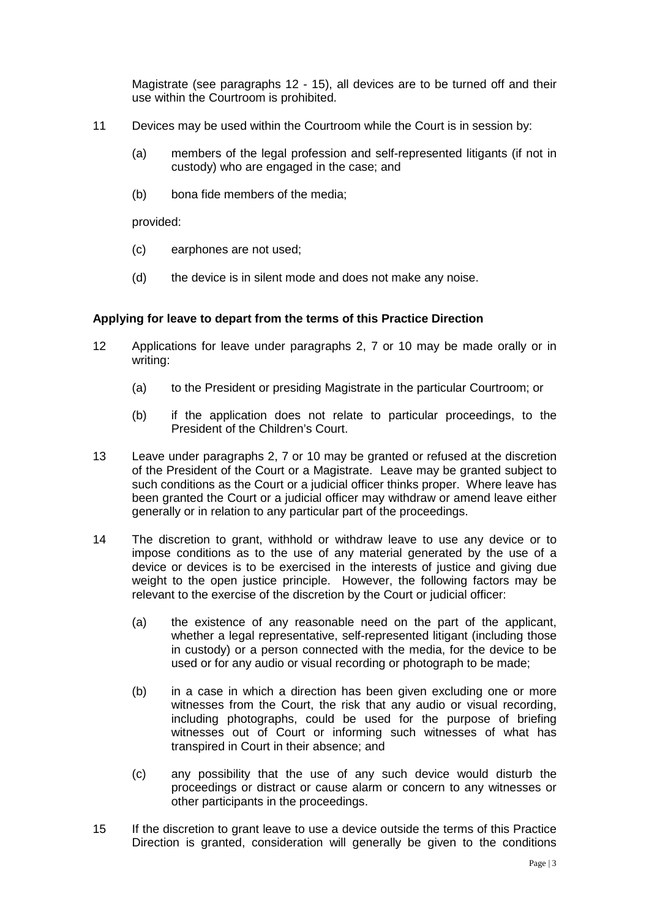Magistrate (see paragraphs 12 - 15), all devices are to be turned off and their use within the Courtroom is prohibited.

- 11 Devices may be used within the Courtroom while the Court is in session by:
	- (a) members of the legal profession and self-represented litigants (if not in custody) who are engaged in the case; and
	- (b) bona fide members of the media;

provided:

- (c) earphones are not used;
- (d) the device is in silent mode and does not make any noise.

### **Applying for leave to depart from the terms of this Practice Direction**

- 12 Applications for leave under paragraphs 2, 7 or 10 may be made orally or in writing:
	- (a) to the President or presiding Magistrate in the particular Courtroom; or
	- (b) if the application does not relate to particular proceedings, to the President of the Children's Court.
- 13 Leave under paragraphs 2, 7 or 10 may be granted or refused at the discretion of the President of the Court or a Magistrate. Leave may be granted subject to such conditions as the Court or a judicial officer thinks proper. Where leave has been granted the Court or a judicial officer may withdraw or amend leave either generally or in relation to any particular part of the proceedings.
- 14 The discretion to grant, withhold or withdraw leave to use any device or to impose conditions as to the use of any material generated by the use of a device or devices is to be exercised in the interests of justice and giving due weight to the open justice principle. However, the following factors may be relevant to the exercise of the discretion by the Court or judicial officer:
	- (a) the existence of any reasonable need on the part of the applicant, whether a legal representative, self-represented litigant (including those in custody) or a person connected with the media, for the device to be used or for any audio or visual recording or photograph to be made;
	- (b) in a case in which a direction has been given excluding one or more witnesses from the Court, the risk that any audio or visual recording, including photographs, could be used for the purpose of briefing witnesses out of Court or informing such witnesses of what has transpired in Court in their absence; and
	- (c) any possibility that the use of any such device would disturb the proceedings or distract or cause alarm or concern to any witnesses or other participants in the proceedings.
- 15 If the discretion to grant leave to use a device outside the terms of this Practice Direction is granted, consideration will generally be given to the conditions